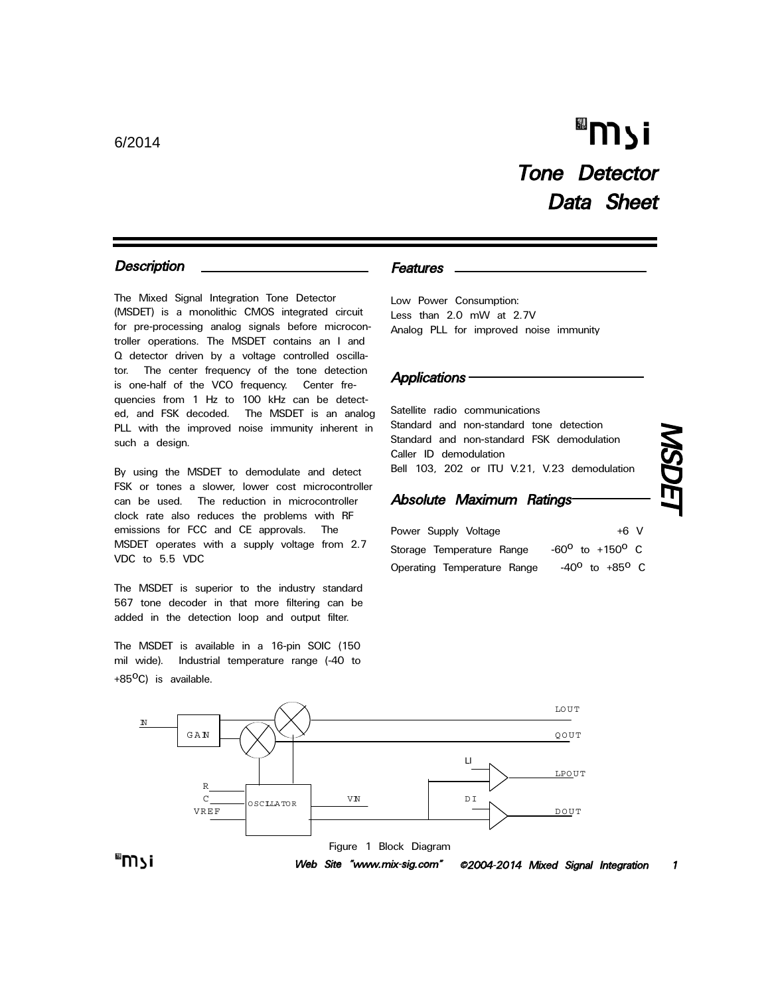## "וֿ צ∩ Tone Detector Data Sheet

#### **Description**

The Mixed Signal Integration Tone Detector (MSDET) is a monolithic CMOS integrated circuit for pre-processing analog signals before microcontroller operations. The MSDET contains an I and Q detector driven by a voltage controlled oscillator. The center frequency of the tone detection is one-half of the VCO frequency. Center frequencies from 1 Hz to 100 kHz can be detected, and FSK decoded. The MSDET is an analog PLL with the improved noise immunity inherent in such a design.

By using the MSDET to demodulate and detect FSK or tones a slower, lower cost microcontroller can be used. The reduction in microcontroller clock rate also reduces the problems with RF emissions for FCC and CE approvals. The MSDET operates with a supply voltage from 2.7 VDC to 5.5 VDC

The MSDET is superior to the industry standard 567 tone decoder in that more filtering can be added in the detection loop and output filter.

The MSDET is available in a 16-pin SOIC (150 mil wide). Industrial temperature range (-40 to +85<sup>o</sup>C) is available.

#### Features

Low Power Consumption: Less than 2.0 mW at 2.7V Analog PLL for improved noise immunity

#### **Applications**

Satellite radio communications Standard and non-standard tone detection Standard and non-standard FSK demodulation Caller ID demodulation Bell 103, 202 or ITU V.21, V.23 demodulation

#### Absolute Maximum Ratings

| Power Supply Voltage        | $+6$ V                            |  |
|-----------------------------|-----------------------------------|--|
| Storage Temperature Range   | $-60^{\circ}$ to $+150^{\circ}$ C |  |
| Operating Temperature Range | $-40^{\circ}$ to $+85^{\circ}$ C  |  |

# MSDET

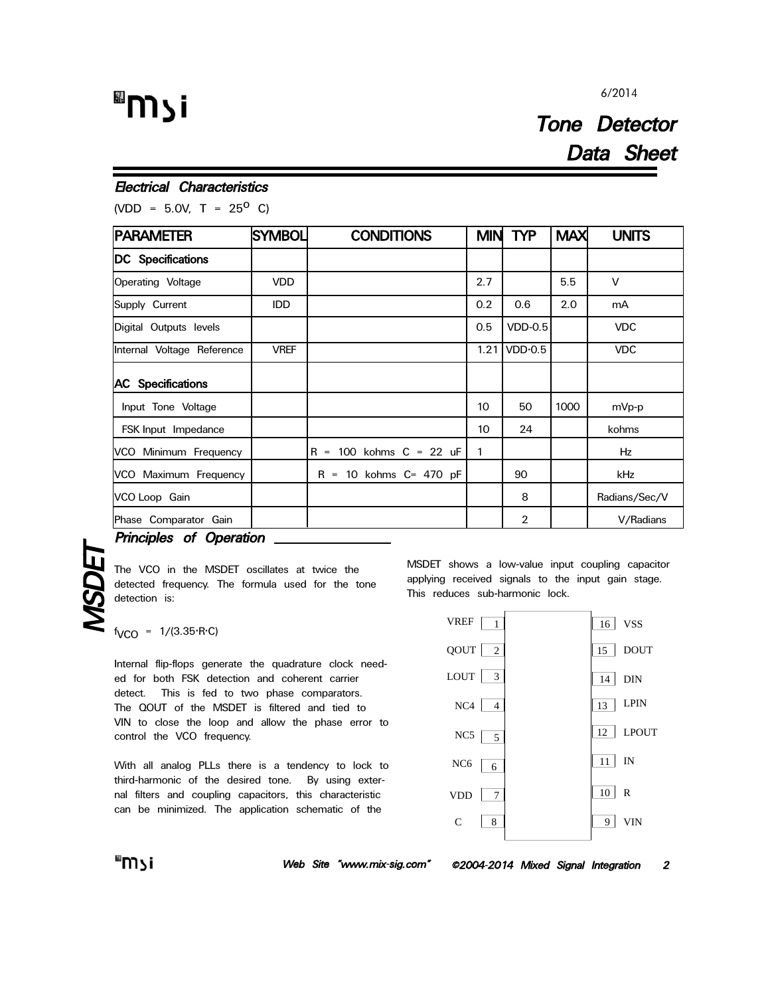## "וֿ צ<sup>װ</sup>

#### 6/2014

### Tone Detector Data Sheet

#### Electrical Characteristics

(VDD = 5.0V, T =  $25^{\circ}$  C)

| <b>PARAMETER</b>           | <b>SYMBOL</b> | <b>CONDITIONS</b>                                | <b>MIN</b> | <b>TYP</b>     | <b>MAX</b> | <b>UNITS</b>  |
|----------------------------|---------------|--------------------------------------------------|------------|----------------|------------|---------------|
| DC Specifications          |               |                                                  |            |                |            |               |
| Operating Voltage          | <b>VDD</b>    |                                                  | 2.7        |                | 5.5        | V             |
| Supply Current             | <b>IDD</b>    |                                                  | 0.2        | 0.6            | 2.0        | mA            |
| Digital Outputs levels     |               |                                                  | 0.5        | <b>VDD-0.5</b> |            | <b>VDC</b>    |
| Internal Voltage Reference | <b>VREF</b>   |                                                  | 1.21       | VDD·0.5        |            | <b>VDC</b>    |
| <b>AC</b> Specifications   |               |                                                  |            |                |            |               |
| Input Tone Voltage         |               |                                                  | 10         | 50             | 1000       | mVp-p         |
| FSK Input Impedance        |               |                                                  | 10         | 24             |            | kohms         |
| VCO Minimum Frequency      |               | 100 kohms $C = 22$ uF<br>R.<br>$\qquad \qquad =$ | 1          |                |            | Hz            |
| VCO Maximum Frequency      |               | $R = 10$ kohms $C = 470$ pF                      |            | 90             |            | kHz           |
| VCO Loop Gain              |               |                                                  |            | 8              |            | Radians/Sec/V |
| Phase Comparator Gain      |               |                                                  |            | 2              |            | V/Radians     |

**Principles of Operation**<br>The VCO in the MSDET oscideted frequency. The formulated frequency.<br>detection is:<br>there = 1/(3.35.BC) The VCO in the MSDET oscillates at twice the detected frequency. The formula used for the tone detection is:

 $f_{VCO}$  = 1/(3.35 $\cdot$ R $\cdot$ C)

Internal flip-flops generate the quadrature clock needed for both FSK detection and coherent carrier detect. This is fed to two phase comparators. The QOUT of the MSDET is filtered and tied to VIN to close the loop and allow the phase error to control the VCO frequency.

With all analog PLLs there is a tendency to lock to third-harmonic of the desired tone. By using external filters and coupling capacitors, this characteristic can be minimized. The application schematic of the

MSDET shows a low-value input coupling capacitor applying received signals to the input gain stage. This reduces sub-harmonic lock.

| <b>VREF</b>     | 1                          |    | 16 VSS      |
|-----------------|----------------------------|----|-------------|
| QOUT            | $\overline{\phantom{0}}^2$ | 15 | <b>DOUT</b> |
| <b>LOUT</b>     | - 3                        |    | 14 DIN      |
| NC <sub>4</sub> | $\overline{4}$             | 13 | <b>LPIN</b> |
| NC <sub>5</sub> | $\overline{5}$             |    | 12 LPOUT    |
| NC <sub>6</sub> | 6                          |    | $11$ IN     |
| <b>VDD</b>      | -7                         | 10 | R           |
| C               | 8                          | 9  | VIN         |

Web Site "www.mix-sig.com" ©2004-2014 Mixed Signal Integration 2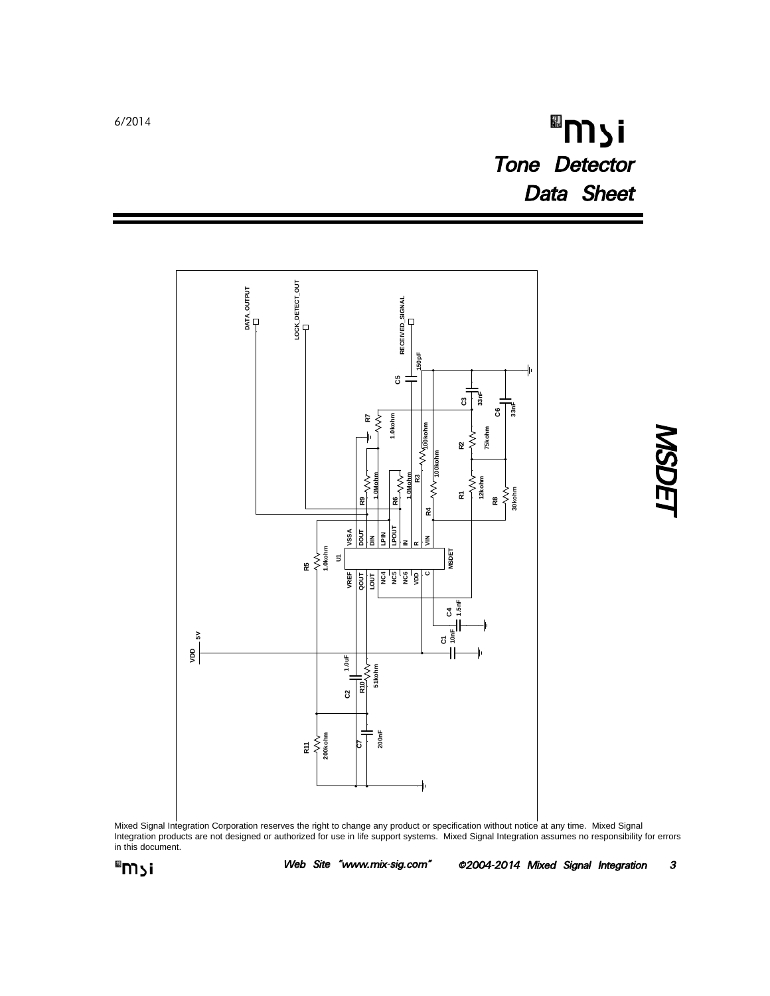## "וֿ צ<sup>װ</sup> Tone Detector Data Sheet



**MSDET** 

Mixed Signal Integration Corporation reserves the right to change any product or specification without notice at any time. Mixed Signal Integration products are not designed or authorized for use in life support systems. Mixed Signal Integration assumes no responsibility for errors in this document.



Web Site "www.mix-sig.com" ©2004-2014 Mixed Signal Integration 3